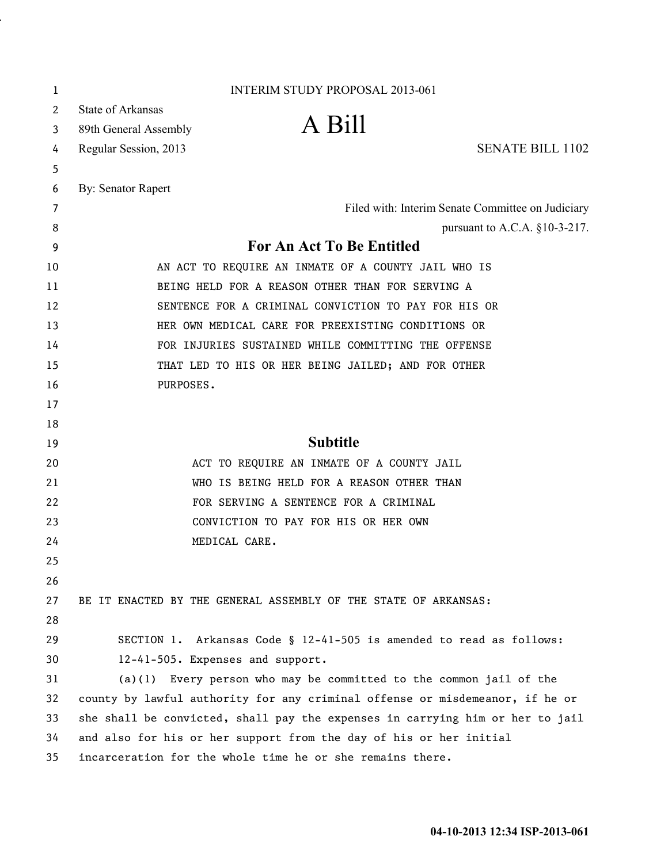| 1  | <b>INTERIM STUDY PROPOSAL 2013-061</b>                                        |
|----|-------------------------------------------------------------------------------|
| 2  | <b>State of Arkansas</b>                                                      |
| 3  | A Bill<br>89th General Assembly                                               |
| 4  | <b>SENATE BILL 1102</b><br>Regular Session, 2013                              |
| 5  |                                                                               |
| 6  | By: Senator Rapert                                                            |
| 7  | Filed with: Interim Senate Committee on Judiciary                             |
| 8  | pursuant to A.C.A. §10-3-217.                                                 |
| 9  | For An Act To Be Entitled                                                     |
| 10 | AN ACT TO REQUIRE AN INMATE OF A COUNTY JAIL WHO IS                           |
| 11 | BEING HELD FOR A REASON OTHER THAN FOR SERVING A                              |
| 12 | SENTENCE FOR A CRIMINAL CONVICTION TO PAY FOR HIS OR                          |
| 13 | HER OWN MEDICAL CARE FOR PREEXISTING CONDITIONS OR                            |
| 14 | FOR INJURIES SUSTAINED WHILE COMMITTING THE OFFENSE                           |
| 15 | THAT LED TO HIS OR HER BEING JAILED; AND FOR OTHER                            |
| 16 | PURPOSES.                                                                     |
| 17 |                                                                               |
| 18 |                                                                               |
| 19 | <b>Subtitle</b>                                                               |
| 20 | ACT TO REQUIRE AN INMATE OF A COUNTY JAIL                                     |
| 21 | WHO IS BEING HELD FOR A REASON OTHER THAN                                     |
| 22 | FOR SERVING A SENTENCE FOR A CRIMINAL                                         |
| 23 | CONVICTION TO PAY FOR HIS OR HER OWN                                          |
| 24 | MEDICAL CARE.                                                                 |
| 25 |                                                                               |
| 26 |                                                                               |
| 27 | BE IT ENACTED BY THE GENERAL ASSEMBLY OF THE STATE OF ARKANSAS:               |
| 28 |                                                                               |
| 29 | SECTION 1. Arkansas Code § 12-41-505 is amended to read as follows:           |
| 30 | 12-41-505. Expenses and support.                                              |
| 31 | $(a)(1)$ Every person who may be committed to the common jail of the          |
| 32 | county by lawful authority for any criminal offense or misdemeanor, if he or  |
| 33 | she shall be convicted, shall pay the expenses in carrying him or her to jail |
| 34 | and also for his or her support from the day of his or her initial            |
| 35 | incarceration for the whole time he or she remains there.                     |

i,